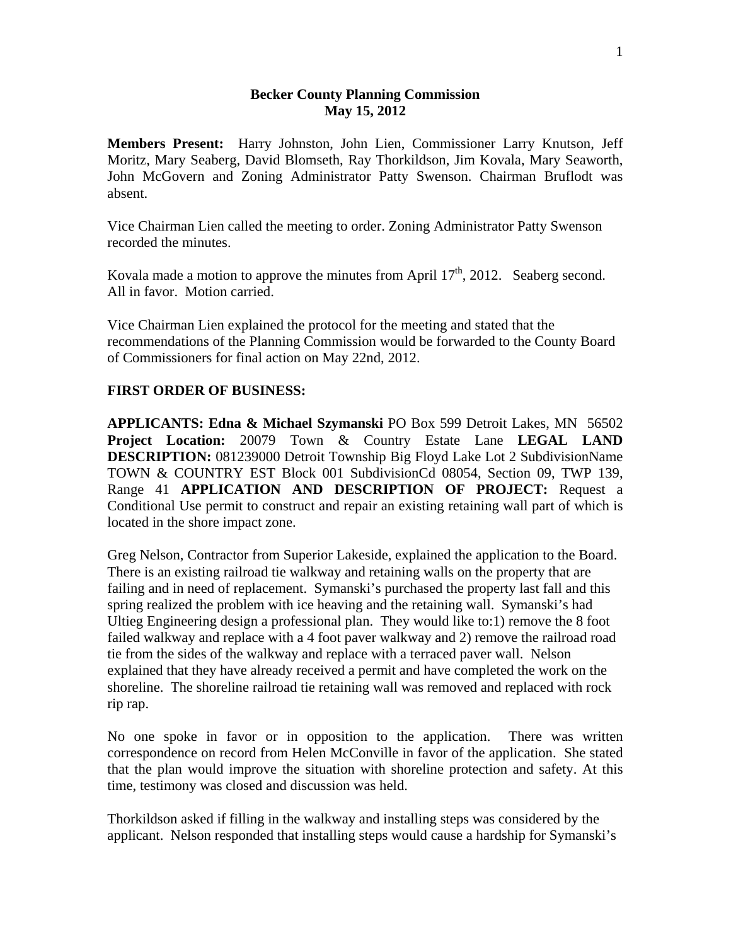## **Becker County Planning Commission May 15, 2012**

**Members Present:** Harry Johnston, John Lien, Commissioner Larry Knutson, Jeff Moritz, Mary Seaberg, David Blomseth, Ray Thorkildson, Jim Kovala, Mary Seaworth, John McGovern and Zoning Administrator Patty Swenson. Chairman Bruflodt was absent.

Vice Chairman Lien called the meeting to order. Zoning Administrator Patty Swenson recorded the minutes.

Kovala made a motion to approve the minutes from April  $17<sup>th</sup>$ , 2012. Seaberg second. All in favor. Motion carried.

Vice Chairman Lien explained the protocol for the meeting and stated that the recommendations of the Planning Commission would be forwarded to the County Board of Commissioners for final action on May 22nd, 2012.

## **FIRST ORDER OF BUSINESS:**

**APPLICANTS: Edna & Michael Szymanski** PO Box 599 Detroit Lakes, MN 56502 **Project Location:** 20079 Town & Country Estate Lane **LEGAL LAND DESCRIPTION:** 081239000 Detroit Township Big Floyd Lake Lot 2 SubdivisionName TOWN & COUNTRY EST Block 001 SubdivisionCd 08054, Section 09, TWP 139, Range 41 **APPLICATION AND DESCRIPTION OF PROJECT:** Request a Conditional Use permit to construct and repair an existing retaining wall part of which is located in the shore impact zone.

Greg Nelson, Contractor from Superior Lakeside, explained the application to the Board. There is an existing railroad tie walkway and retaining walls on the property that are failing and in need of replacement. Symanski's purchased the property last fall and this spring realized the problem with ice heaving and the retaining wall. Symanski's had Ultieg Engineering design a professional plan. They would like to:1) remove the 8 foot failed walkway and replace with a 4 foot paver walkway and 2) remove the railroad road tie from the sides of the walkway and replace with a terraced paver wall. Nelson explained that they have already received a permit and have completed the work on the shoreline. The shoreline railroad tie retaining wall was removed and replaced with rock rip rap.

No one spoke in favor or in opposition to the application. There was written correspondence on record from Helen McConville in favor of the application. She stated that the plan would improve the situation with shoreline protection and safety. At this time, testimony was closed and discussion was held.

Thorkildson asked if filling in the walkway and installing steps was considered by the applicant. Nelson responded that installing steps would cause a hardship for Symanski's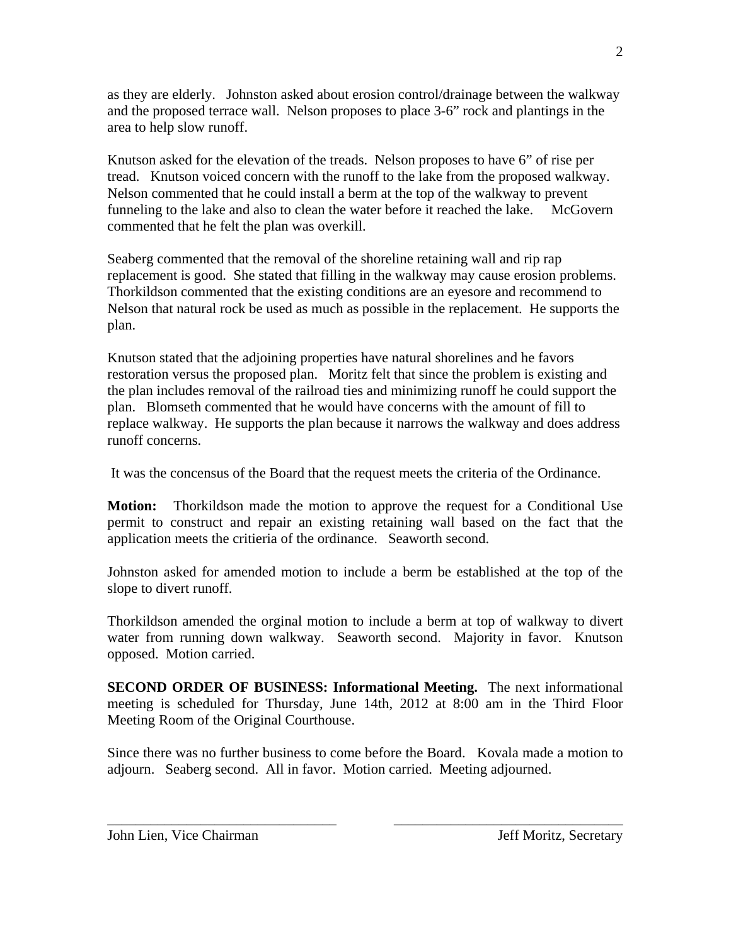as they are elderly. Johnston asked about erosion control/drainage between the walkway and the proposed terrace wall. Nelson proposes to place 3-6" rock and plantings in the area to help slow runoff.

Knutson asked for the elevation of the treads. Nelson proposes to have 6" of rise per tread. Knutson voiced concern with the runoff to the lake from the proposed walkway. Nelson commented that he could install a berm at the top of the walkway to prevent funneling to the lake and also to clean the water before it reached the lake. McGovern commented that he felt the plan was overkill.

Seaberg commented that the removal of the shoreline retaining wall and rip rap replacement is good. She stated that filling in the walkway may cause erosion problems. Thorkildson commented that the existing conditions are an eyesore and recommend to Nelson that natural rock be used as much as possible in the replacement. He supports the plan.

Knutson stated that the adjoining properties have natural shorelines and he favors restoration versus the proposed plan. Moritz felt that since the problem is existing and the plan includes removal of the railroad ties and minimizing runoff he could support the plan. Blomseth commented that he would have concerns with the amount of fill to replace walkway. He supports the plan because it narrows the walkway and does address runoff concerns.

It was the concensus of the Board that the request meets the criteria of the Ordinance.

**Motion:** Thorkildson made the motion to approve the request for a Conditional Use permit to construct and repair an existing retaining wall based on the fact that the application meets the critieria of the ordinance. Seaworth second.

Johnston asked for amended motion to include a berm be established at the top of the slope to divert runoff.

Thorkildson amended the orginal motion to include a berm at top of walkway to divert water from running down walkway. Seaworth second. Majority in favor. Knutson opposed. Motion carried.

**SECOND ORDER OF BUSINESS: Informational Meeting.** The next informational meeting is scheduled for Thursday, June 14th, 2012 at 8:00 am in the Third Floor Meeting Room of the Original Courthouse.

Since there was no further business to come before the Board. Kovala made a motion to adjourn. Seaberg second. All in favor. Motion carried. Meeting adjourned.

\_\_\_\_\_\_\_\_\_\_\_\_\_\_\_\_\_\_\_\_\_\_\_\_\_\_\_\_\_\_\_\_ \_\_\_\_\_\_\_\_\_\_\_\_\_\_\_\_\_\_\_\_\_\_\_\_\_\_\_\_\_\_\_\_